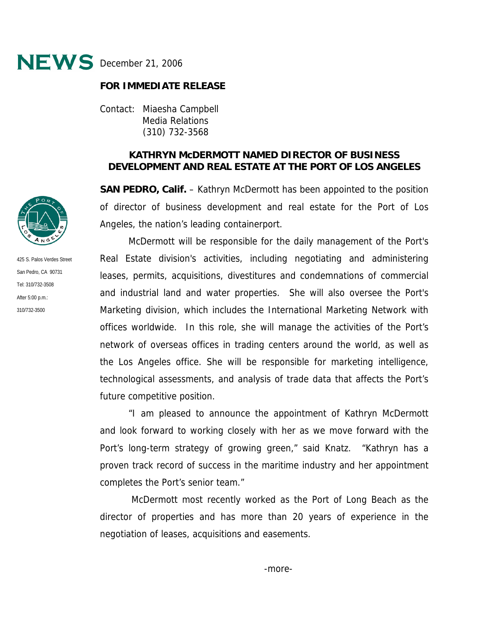

## **FOR IMMEDIATE RELEASE**

Contact: Miaesha Campbell Media Relations (310) 732-3568

## **KATHRYN McDERMOTT NAMED DIRECTOR OF BUSINESS DEVELOPMENT AND REAL ESTATE AT THE PORT OF LOS ANGELES**

**SAN PEDRO, Calif.** – Kathryn McDermott has been appointed to the position of director of business development and real estate for the Port of Los Angeles, the nation's leading containerport.

McDermott will be responsible for the daily management of the Port's Real Estate division's activities, including negotiating and administering leases, permits, acquisitions, divestitures and condemnations of commercial and industrial land and water properties. She will also oversee the Port's Marketing division, which includes the International Marketing Network with offices worldwide. In this role, she will manage the activities of the Port's network of overseas offices in trading centers around the world, as well as the Los Angeles office. She will be responsible for marketing intelligence, technological assessments, and analysis of trade data that affects the Port's future competitive position.

"I am pleased to announce the appointment of Kathryn McDermott and look forward to working closely with her as we move forward with the Port's long-term strategy of growing green," said Knatz. "Kathryn has a proven track record of success in the maritime industry and her appointment completes the Port's senior team."

 McDermott most recently worked as the Port of Long Beach as the director of properties and has more than 20 years of experience in the negotiation of leases, acquisitions and easements.



425 S. Palos Verdes Street San Pedro, CA 90731 Tel: 310/732-3508 After 5:00 p.m.: 310/732-3500